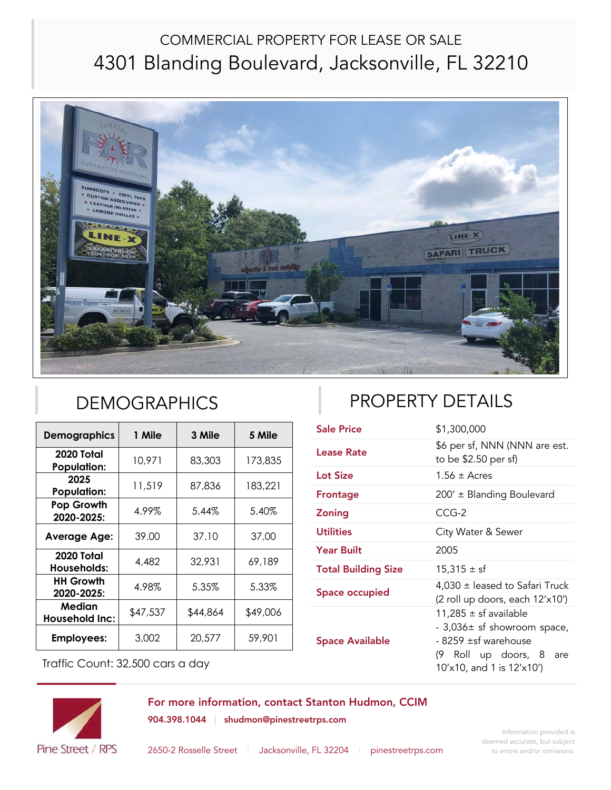## COMMERCIAL PROPERTY FOR LEASE OR SALE 4301 Blanding Boulevard, Jacksonville, FL 32210



| <b>Demographics</b>              | 1 Mile   | 3 Mile   | 5 Mile   |
|----------------------------------|----------|----------|----------|
| 2020 Total<br><b>Population:</b> | 10,971   | 83,303   | 173,835  |
| 2025<br><b>Population:</b>       | 11,519   | 87,836   | 183,221  |
| Pop Growth<br>2020-2025:         | 4.99%    | 5.44%    | 5.40%    |
| <b>Average Age:</b>              | 39.00    | 37.10    | 37.00    |
| 2020 Total<br>Households:        | 4,482    | 32,931   | 69,189   |
| <b>HH Growth</b><br>2020-2025:   | 4.98%    | 5.35%    | 5.33%    |
| Median<br><b>Household Inc:</b>  | \$47,537 | \$44,864 | \$49,006 |
| <b>Employees:</b>                | 3,002    | 20,577   | 59,901   |

# DEMOGRAPHICS **PROPERTY DETAILS**

| <b>Sale Price</b>          | \$1,300,000                                                                                                                                 |  |
|----------------------------|---------------------------------------------------------------------------------------------------------------------------------------------|--|
| Lease Rate                 | \$6 per sf, NNN (NNN are est.<br>to be \$2.50 per sf)                                                                                       |  |
| <b>Lot Size</b>            | $1.56 \pm$ Acres                                                                                                                            |  |
| Frontage                   | 200' ± Blanding Boulevard                                                                                                                   |  |
| <b>Zoning</b>              | $CCG-2$                                                                                                                                     |  |
| <b>Utilities</b>           | City Water & Sewer                                                                                                                          |  |
| <b>Year Built</b>          | 2005                                                                                                                                        |  |
| <b>Total Building Size</b> | $15,315 \pm sf$                                                                                                                             |  |
| <b>Space occupied</b>      | $4,030 \pm$ leased to Safari Truck<br>(2 roll up doors, each 12'x10')                                                                       |  |
| <b>Space Available</b>     | 11,285 $\pm$ sf available<br>- 3,036± sf showroom space,<br>- 8259 ±sf warehouse<br>(9 Roll up doors, 8<br>are<br>10'x10, and 1 is 12'x10') |  |

Traffic Count: 32,500 cars a day

For more information, contact Stanton Hudmon, CCIM 904.398.1044 | shudmon@pinestreetrps.com



2650-2 Rosselle Street | Jacksonville, FL 32204 | pinestreetrps.com

Information provided is deemed accurate, but subject to errors and/or omissions.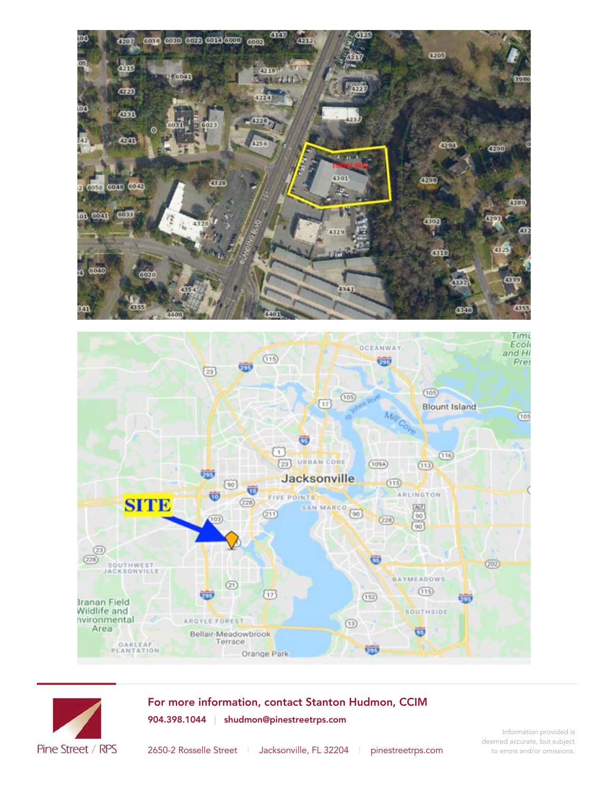



For more information, contact Stanton Hudmon, CCIM 904.398.1044 | shudmon@pinestreetrps.com



Information provided is deemed accurate, but subject to errors and/or omissions.

2650-2 Rosselle Street | Jacksonville, FL 32204 | pinestreetrps.com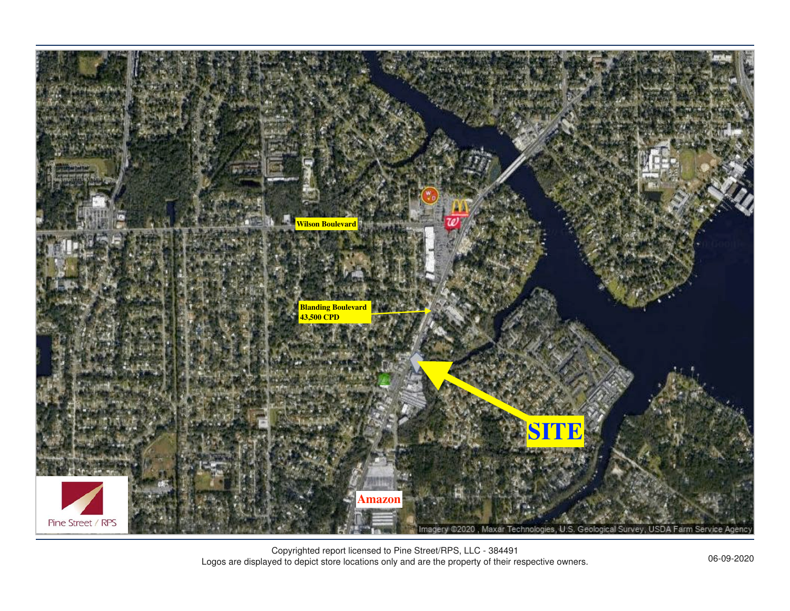

Copyrighted report licensed to Pine Street/RPS, LLC - 384491 Logos are displayed to depict store locations only and are the property of their respective owners. 06-09-2020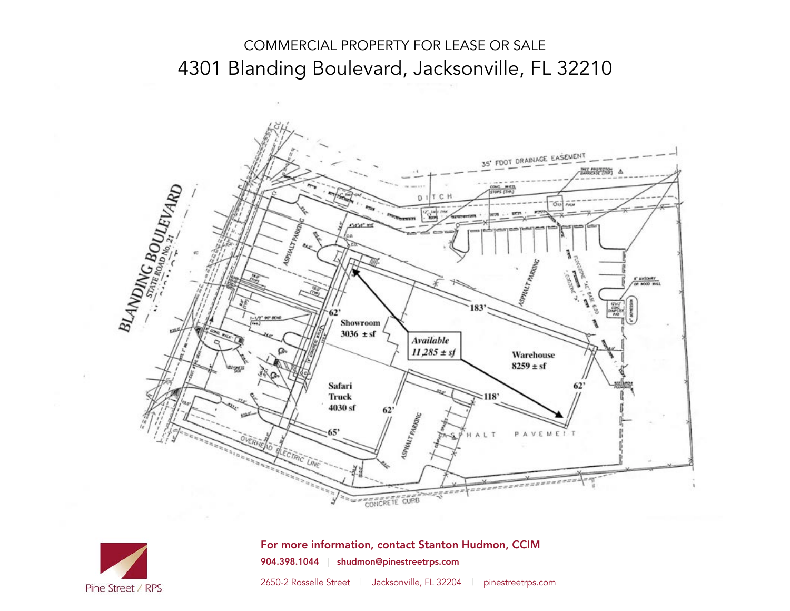### COMMERCIAL PROPERTY FOR LEASE OR SALE 4301 Blanding Boulevard, Jacksonville, FL 32210





For more information, contact Stanton Hudmon, CCIM 904.398.1044 | shudmon@pinestreetrps.com

2650-2 Rosselle Street | Jacksonville, FL 32204 | pinestreetrps.com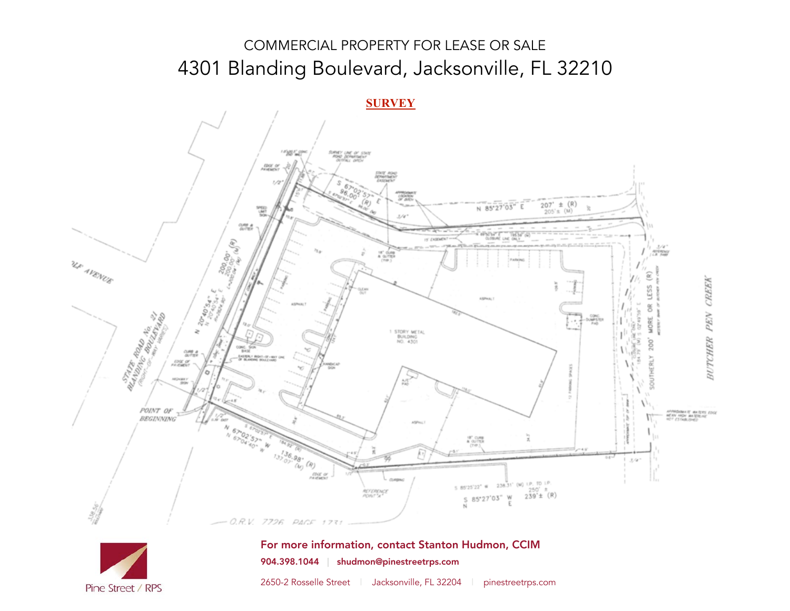## COMMERCIAL PROPERTY FOR LEASE OR SALE 4301 Blanding Boulevard, Jacksonville, FL 32210